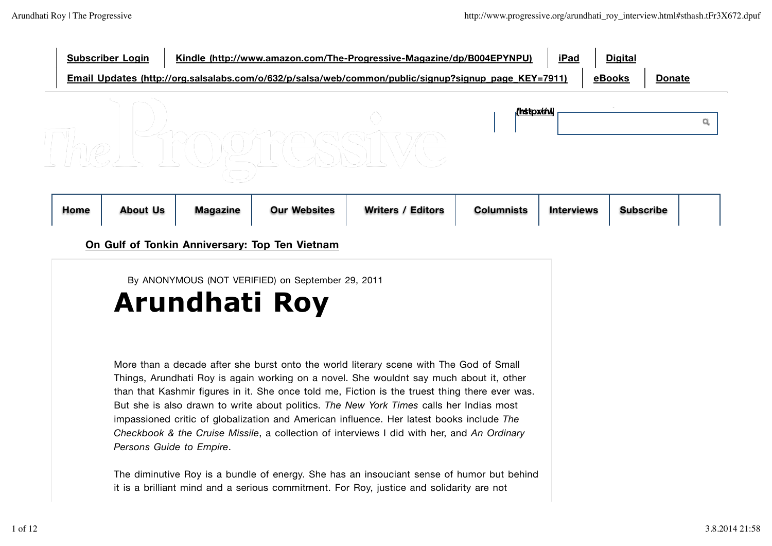| <b>Subscriber Login</b> | Kindle (http://www.amazon.com/The-Progressive-Magazine/dp/B004EPYNPU)                                | iPad | <b>Digital</b> |               |  |
|-------------------------|------------------------------------------------------------------------------------------------------|------|----------------|---------------|--|
|                         | Email Updates (http://org.salsalabs.com/o/632/p/salsa/web/common/public/signup?signup page KEY=7911) |      | eBooks         | <b>Donate</b> |  |
|                         | <b>/hstox/rhil</b>                                                                                   |      |                |               |  |

| <b>Home</b> | <b>About Us</b> | <b>Magazine</b> | <b>Our Websites</b> | <b>Writers / Editors</b> | <b>Columnists</b> | <b>Interviews</b> | <b>Subscribe</b> |  |
|-------------|-----------------|-----------------|---------------------|--------------------------|-------------------|-------------------|------------------|--|
|-------------|-----------------|-----------------|---------------------|--------------------------|-------------------|-------------------|------------------|--|

## **On Gulf of Tonkin Anniversary: Top Ten Vietnam**

By ANONYMOUS (NOT VERIFIED) on September 29, 2011

The LTCOPTCSSIVE

# **Arundhati Roy**

More than a decade after she burst onto the world literary scene with The God of Small Things, Arundhati Roy is again working on a novel. She wouldnt say much about it, other than that Kashmir figures in it. She once told me, Fiction is the truest thing there ever was. But she is also drawn to write about politics. *The New York Times* calls her Indias most impassioned critic of globalization and American influence. Her latest books include *The Checkbook & the Cruise Missile*, a collection of interviews I did with her, and *An Ordinary Persons Guide to Empire*.

The diminutive Roy is a bundle of energy. She has an insouciant sense of humor but behind it is a brilliant mind and a serious commitment. For Roy, justice and solidarity are not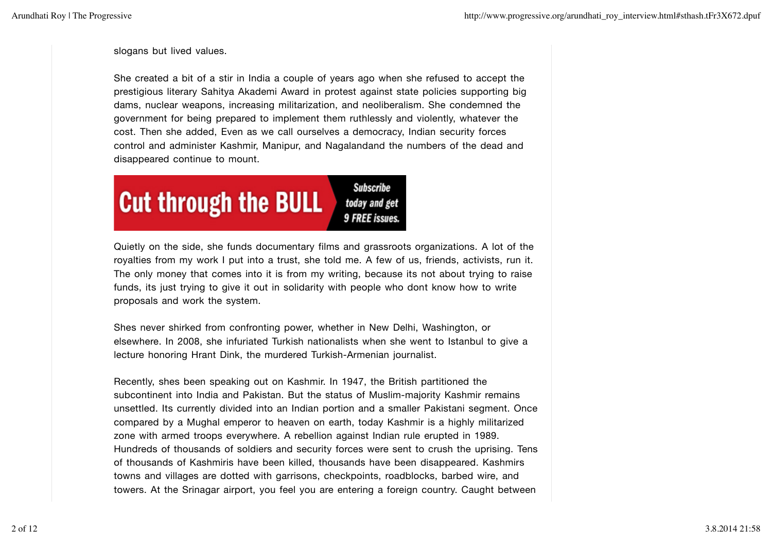slogans but lived values.

She created a bit of a stir in India a couple of years ago when she refused to accept the prestigious literary Sahitya Akademi Award in protest against state policies supporting big dams, nuclear weapons, increasing militarization, and neoliberalism. She condemned the government for being prepared to implement them ruthlessly and violently, whatever the cost. Then she added, Even as we call ourselves a democracy, Indian security forces control and administer Kashmir, Manipur, and Nagalandand the numbers of the dead and disappeared continue to mount.



Quietly on the side, she funds documentary films and grassroots organizations. A lot of the royalties from my work I put into a trust, she told me. A few of us, friends, activists, run it. The only money that comes into it is from my writing, because its not about trying to raise funds, its just trying to give it out in solidarity with people who dont know how to write proposals and work the system.

Shes never shirked from confronting power, whether in New Delhi, Washington, or elsewhere. In 2008, she infuriated Turkish nationalists when she went to Istanbul to give a lecture honoring Hrant Dink, the murdered Turkish-Armenian journalist.

Recently, shes been speaking out on Kashmir. In 1947, the British partitioned the subcontinent into India and Pakistan. But the status of Muslim-majority Kashmir remains unsettled. Its currently divided into an Indian portion and a smaller Pakistani segment. Once compared by a Mughal emperor to heaven on earth, today Kashmir is a highly militarized zone with armed troops everywhere. A rebellion against Indian rule erupted in 1989. Hundreds of thousands of soldiers and security forces were sent to crush the uprising. Tens of thousands of Kashmiris have been killed, thousands have been disappeared. Kashmirs towns and villages are dotted with garrisons, checkpoints, roadblocks, barbed wire, and towers. At the Srinagar airport, you feel you are entering a foreign country. Caught between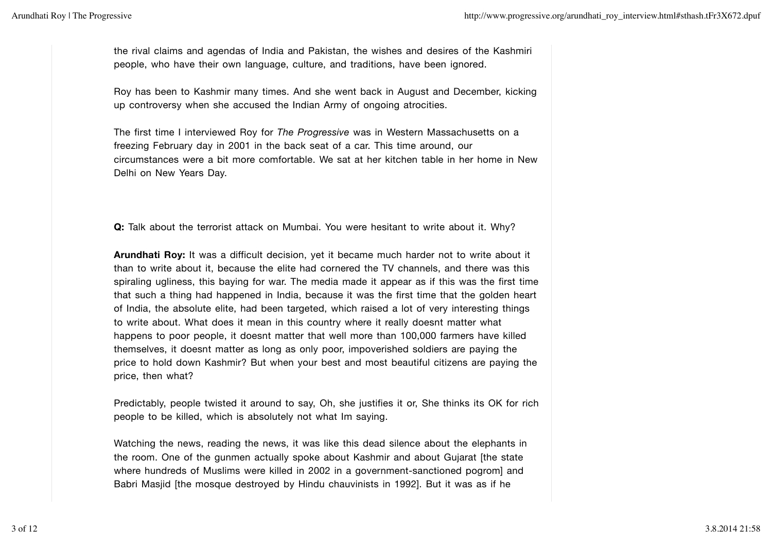the rival claims and agendas of India and Pakistan, the wishes and desires of the Kashmiri people, who have their own language, culture, and traditions, have been ignored.

Roy has been to Kashmir many times. And she went back in August and December, kicking up controversy when she accused the Indian Army of ongoing atrocities.

The first time I interviewed Roy for *The Progressive* was in Western Massachusetts on a freezing February day in 2001 in the back seat of a car. This time around, our circumstances were a bit more comfortable. We sat at her kitchen table in her home in New Delhi on New Years Day.

**Q:** Talk about the terrorist attack on Mumbai. You were hesitant to write about it. Why?

**Arundhati Roy:** It was a difficult decision, yet it became much harder not to write about it than to write about it, because the elite had cornered the TV channels, and there was this spiraling ugliness, this baying for war. The media made it appear as if this was the first time that such a thing had happened in India, because it was the first time that the golden heart of India, the absolute elite, had been targeted, which raised a lot of very interesting things to write about. What does it mean in this country where it really doesnt matter what happens to poor people, it doesnt matter that well more than 100,000 farmers have killed themselves, it doesnt matter as long as only poor, impoverished soldiers are paying the price to hold down Kashmir? But when your best and most beautiful citizens are paying the price, then what?

Predictably, people twisted it around to say, Oh, she justifies it or, She thinks its OK for rich people to be killed, which is absolutely not what Im saying.

Watching the news, reading the news, it was like this dead silence about the elephants in the room. One of the gunmen actually spoke about Kashmir and about Gujarat [the state where hundreds of Muslims were killed in 2002 in a government-sanctioned pogrom] and Babri Masjid [the mosque destroyed by Hindu chauvinists in 1992]. But it was as if he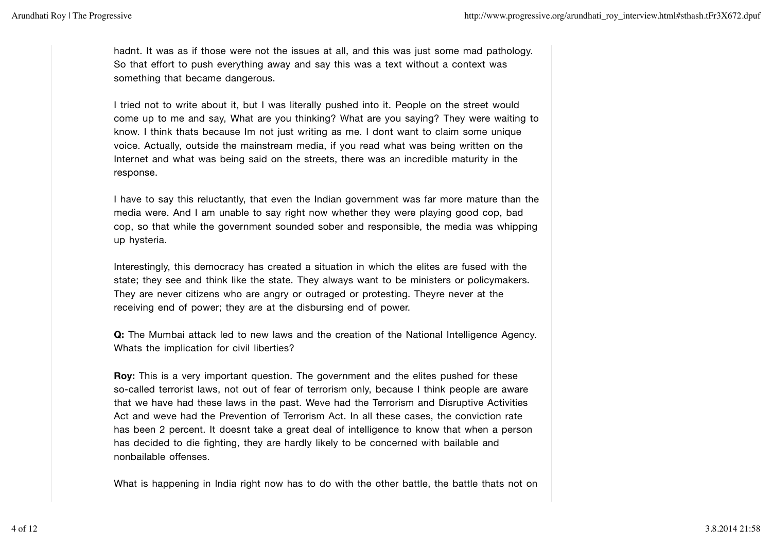hadnt. It was as if those were not the issues at all, and this was just some mad pathology. So that effort to push everything away and say this was a text without a context was something that became dangerous.

I tried not to write about it, but I was literally pushed into it. People on the street would come up to me and say, What are you thinking? What are you saying? They were waiting to know. I think thats because Im not just writing as me. I dont want to claim some unique voice. Actually, outside the mainstream media, if you read what was being written on the Internet and what was being said on the streets, there was an incredible maturity in the response.

I have to say this reluctantly, that even the Indian government was far more mature than the media were. And I am unable to say right now whether they were playing good cop, bad cop, so that while the government sounded sober and responsible, the media was whipping up hysteria.

Interestingly, this democracy has created a situation in which the elites are fused with the state; they see and think like the state. They always want to be ministers or policymakers. They are never citizens who are angry or outraged or protesting. Theyre never at the receiving end of power; they are at the disbursing end of power.

**Q:** The Mumbai attack led to new laws and the creation of the National Intelligence Agency. Whats the implication for civil liberties?

**Roy:** This is a very important question. The government and the elites pushed for these so-called terrorist laws, not out of fear of terrorism only, because I think people are aware that we have had these laws in the past. Weve had the Terrorism and Disruptive Activities Act and weve had the Prevention of Terrorism Act. In all these cases, the conviction rate has been 2 percent. It doesnt take a great deal of intelligence to know that when a person has decided to die fighting, they are hardly likely to be concerned with bailable and nonbailable offenses.

What is happening in India right now has to do with the other battle, the battle thats not on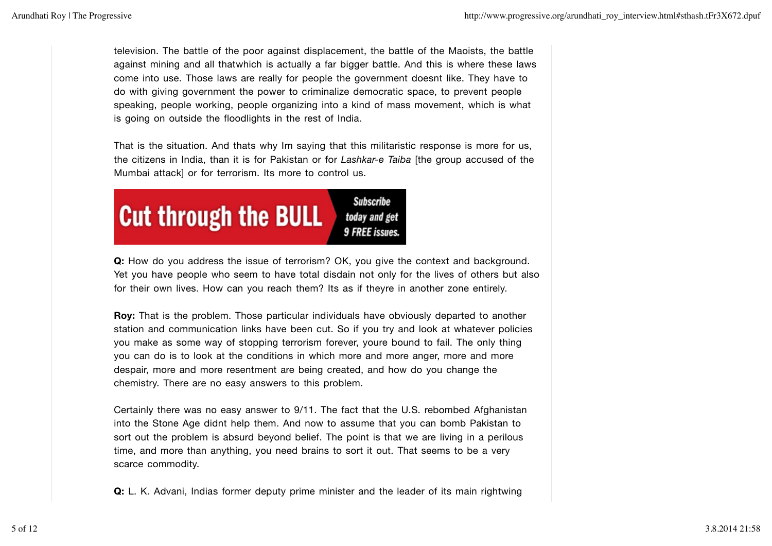television. The battle of the poor against displacement, the battle of the Maoists, the battle against mining and all thatwhich is actually a far bigger battle. And this is where these laws come into use. Those laws are really for people the government doesnt like. They have to do with giving government the power to criminalize democratic space, to prevent people speaking, people working, people organizing into a kind of mass movement, which is what is going on outside the floodlights in the rest of India.

That is the situation. And thats why Im saying that this militaristic response is more for us, the citizens in India, than it is for Pakistan or for *Lashkar-e Taiba* [the group accused of the Mumbai attack] or for terrorism. Its more to control us.



**Q:** How do you address the issue of terrorism? OK, you give the context and background. Yet you have people who seem to have total disdain not only for the lives of others but also for their own lives. How can you reach them? Its as if theyre in another zone entirely.

**Roy:** That is the problem. Those particular individuals have obviously departed to another station and communication links have been cut. So if you try and look at whatever policies you make as some way of stopping terrorism forever, youre bound to fail. The only thing you can do is to look at the conditions in which more and more anger, more and more despair, more and more resentment are being created, and how do you change the chemistry. There are no easy answers to this problem.

Certainly there was no easy answer to 9/11. The fact that the U.S. rebombed Afghanistan into the Stone Age didnt help them. And now to assume that you can bomb Pakistan to sort out the problem is absurd beyond belief. The point is that we are living in a perilous time, and more than anything, you need brains to sort it out. That seems to be a very scarce commodity.

**Q:** L. K. Advani, Indias former deputy prime minister and the leader of its main rightwing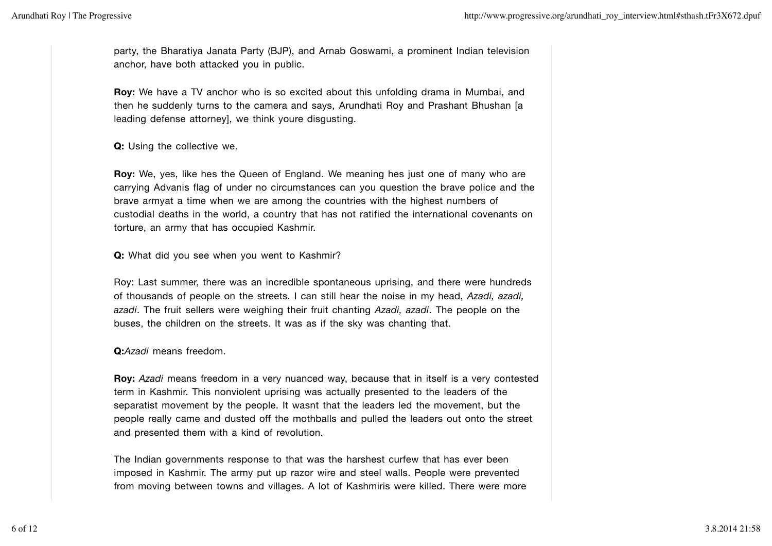party, the Bharatiya Janata Party (BJP), and Arnab Goswami, a prominent Indian television anchor, have both attacked you in public.

**Roy:** We have a TV anchor who is so excited about this unfolding drama in Mumbai, and then he suddenly turns to the camera and says, Arundhati Roy and Prashant Bhushan [a leading defense attorney], we think youre disgusting.

### **Q:** Using the collective we.

**Roy:** We, yes, like hes the Queen of England. We meaning hes just one of many who are carrying Advanis flag of under no circumstances can you question the brave police and the brave armyat a time when we are among the countries with the highest numbers of custodial deaths in the world, a country that has not ratified the international covenants on torture, an army that has occupied Kashmir.

### **Q:** What did you see when you went to Kashmir?

Roy: Last summer, there was an incredible spontaneous uprising, and there were hundreds of thousands of people on the streets. I can still hear the noise in my head, *Azadi, azadi, azadi*. The fruit sellers were weighing their fruit chanting *Azadi, azadi*. The people on the buses, the children on the streets. It was as if the sky was chanting that.

#### **Q:***Azadi* means freedom.

**Roy:** *Azadi* means freedom in a very nuanced way, because that in itself is a very contested term in Kashmir. This nonviolent uprising was actually presented to the leaders of the separatist movement by the people. It wasnt that the leaders led the movement, but the people really came and dusted off the mothballs and pulled the leaders out onto the street and presented them with a kind of revolution.

The Indian governments response to that was the harshest curfew that has ever been imposed in Kashmir. The army put up razor wire and steel walls. People were prevented from moving between towns and villages. A lot of Kashmiris were killed. There were more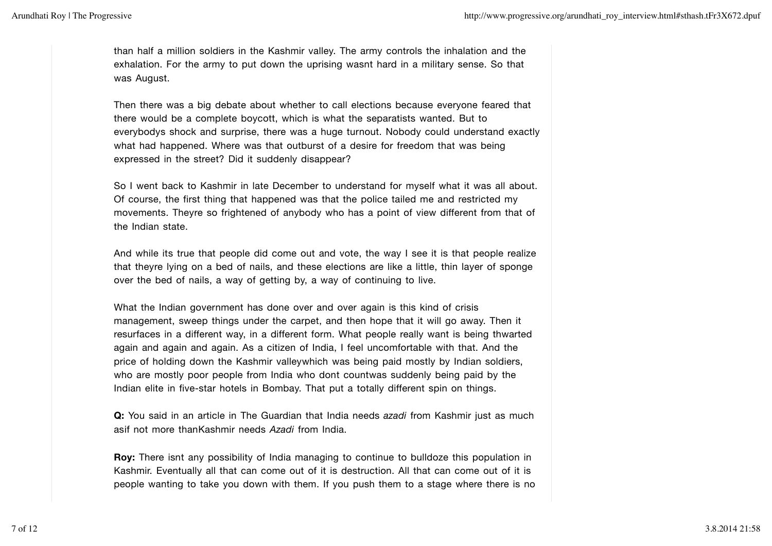than half a million soldiers in the Kashmir valley. The army controls the inhalation and the exhalation. For the army to put down the uprising wasnt hard in a military sense. So that was August.

Then there was a big debate about whether to call elections because everyone feared that there would be a complete boycott, which is what the separatists wanted. But to everybodys shock and surprise, there was a huge turnout. Nobody could understand exactly what had happened. Where was that outburst of a desire for freedom that was being expressed in the street? Did it suddenly disappear?

So I went back to Kashmir in late December to understand for myself what it was all about. Of course, the first thing that happened was that the police tailed me and restricted my movements. Theyre so frightened of anybody who has a point of view different from that of the Indian state.

And while its true that people did come out and vote, the way I see it is that people realize that theyre lying on a bed of nails, and these elections are like a little, thin layer of sponge over the bed of nails, a way of getting by, a way of continuing to live.

What the Indian government has done over and over again is this kind of crisis management, sweep things under the carpet, and then hope that it will go away. Then it resurfaces in a different way, in a different form. What people really want is being thwarted again and again and again. As a citizen of India, I feel uncomfortable with that. And the price of holding down the Kashmir valleywhich was being paid mostly by Indian soldiers, who are mostly poor people from India who dont countwas suddenly being paid by the Indian elite in five-star hotels in Bombay. That put a totally different spin on things.

**Q:** You said in an article in The Guardian that India needs *azadi* from Kashmir just as much asif not more thanKashmir needs *Azadi* from India.

**Roy:** There isnt any possibility of India managing to continue to bulldoze this population in Kashmir. Eventually all that can come out of it is destruction. All that can come out of it is people wanting to take you down with them. If you push them to a stage where there is no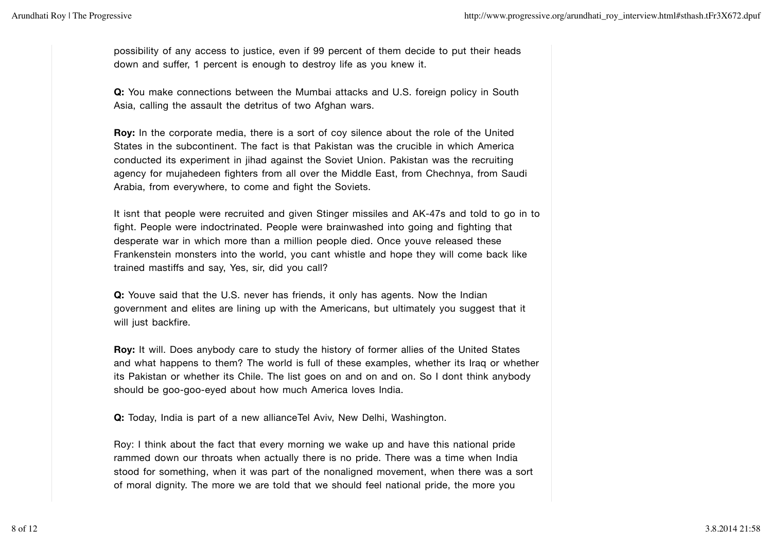possibility of any access to justice, even if 99 percent of them decide to put their heads down and suffer, 1 percent is enough to destroy life as you knew it.

**Q:** You make connections between the Mumbai attacks and U.S. foreign policy in South Asia, calling the assault the detritus of two Afghan wars.

**Roy:** In the corporate media, there is a sort of coy silence about the role of the United States in the subcontinent. The fact is that Pakistan was the crucible in which America conducted its experiment in jihad against the Soviet Union. Pakistan was the recruiting agency for mujahedeen fighters from all over the Middle East, from Chechnya, from Saudi Arabia, from everywhere, to come and fight the Soviets.

It isnt that people were recruited and given Stinger missiles and AK-47s and told to go in to fight. People were indoctrinated. People were brainwashed into going and fighting that desperate war in which more than a million people died. Once youve released these Frankenstein monsters into the world, you cant whistle and hope they will come back like trained mastiffs and say, Yes, sir, did you call?

**Q:** Youve said that the U.S. never has friends, it only has agents. Now the Indian government and elites are lining up with the Americans, but ultimately you suggest that it will just backfire.

**Roy:** It will. Does anybody care to study the history of former allies of the United States and what happens to them? The world is full of these examples, whether its Iraq or whether its Pakistan or whether its Chile. The list goes on and on and on. So I dont think anybody should be goo-goo-eyed about how much America loves India.

**Q:** Today, India is part of a new allianceTel Aviv, New Delhi, Washington.

Roy: I think about the fact that every morning we wake up and have this national pride rammed down our throats when actually there is no pride. There was a time when India stood for something, when it was part of the nonaligned movement, when there was a sort of moral dignity. The more we are told that we should feel national pride, the more you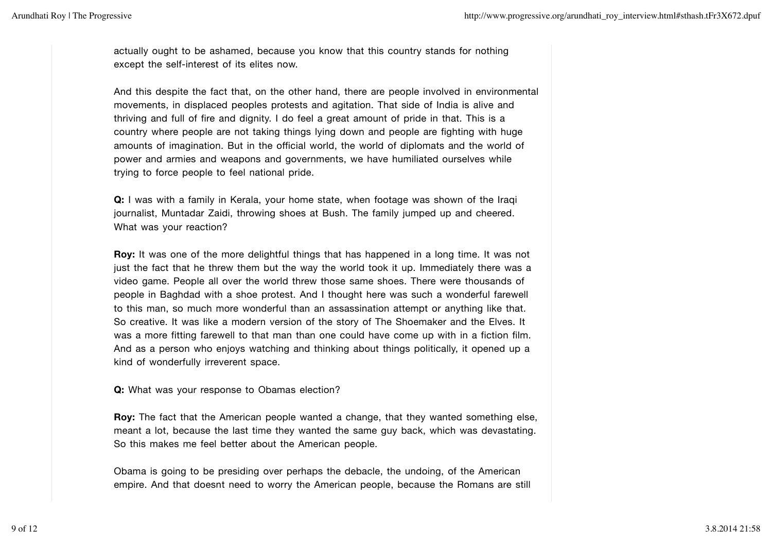actually ought to be ashamed, because you know that this country stands for nothing except the self-interest of its elites now.

And this despite the fact that, on the other hand, there are people involved in environmental movements, in displaced peoples protests and agitation. That side of India is alive and thriving and full of fire and dignity. I do feel a great amount of pride in that. This is a country where people are not taking things lying down and people are fighting with huge amounts of imagination. But in the official world, the world of diplomats and the world of power and armies and weapons and governments, we have humiliated ourselves while trying to force people to feel national pride.

**Q:** I was with a family in Kerala, your home state, when footage was shown of the Iraqi journalist, Muntadar Zaidi, throwing shoes at Bush. The family jumped up and cheered. What was your reaction?

**Roy:** It was one of the more delightful things that has happened in a long time. It was not just the fact that he threw them but the way the world took it up. Immediately there was a video game. People all over the world threw those same shoes. There were thousands of people in Baghdad with a shoe protest. And I thought here was such a wonderful farewell to this man, so much more wonderful than an assassination attempt or anything like that. So creative. It was like a modern version of the story of The Shoemaker and the Elves. It was a more fitting farewell to that man than one could have come up with in a fiction film. And as a person who enjoys watching and thinking about things politically, it opened up a kind of wonderfully irreverent space.

**Q:** What was your response to Obamas election?

**Roy:** The fact that the American people wanted a change, that they wanted something else, meant a lot, because the last time they wanted the same guy back, which was devastating. So this makes me feel better about the American people.

Obama is going to be presiding over perhaps the debacle, the undoing, of the American empire. And that doesnt need to worry the American people, because the Romans are still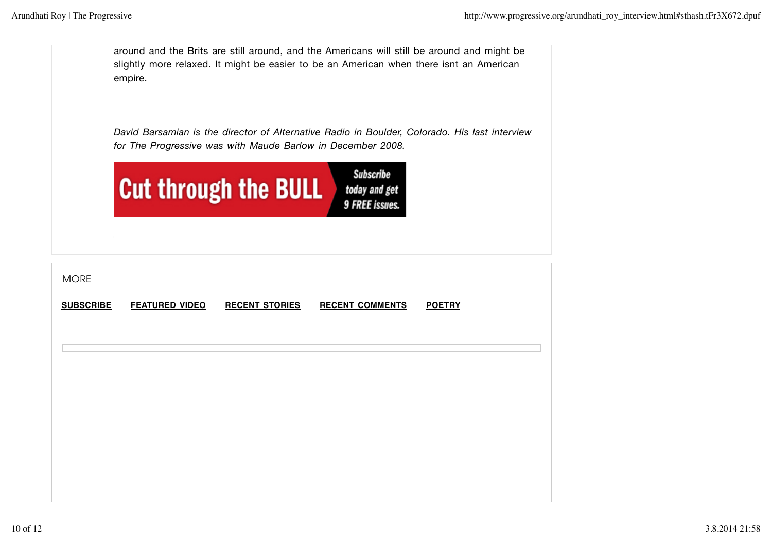around and the Brits are still around, and the Americans will still be around and might be slightly more relaxed. It might be easier to be an American when there isnt an American empire.

*David Barsamian is the director of Alternative Radio in Boulder, Colorado. His last interview for The Progressive was with Maude Barlow in December 2008.*

| <b>Cut through the BULL</b> | Subscribe<br>today and get<br><b>9 FREE issues.</b> |
|-----------------------------|-----------------------------------------------------|
|-----------------------------|-----------------------------------------------------|

| <b>MORE</b>      |                       |                       |                        |               |
|------------------|-----------------------|-----------------------|------------------------|---------------|
| <b>SUBSCRIBE</b> | <b>FEATURED VIDEO</b> | <b>RECENT STORIES</b> | <b>RECENT COMMENTS</b> | <b>POETRY</b> |
|                  |                       |                       |                        |               |
|                  |                       |                       |                        |               |
|                  |                       |                       |                        |               |
|                  |                       |                       |                        |               |
|                  |                       |                       |                        |               |
|                  |                       |                       |                        |               |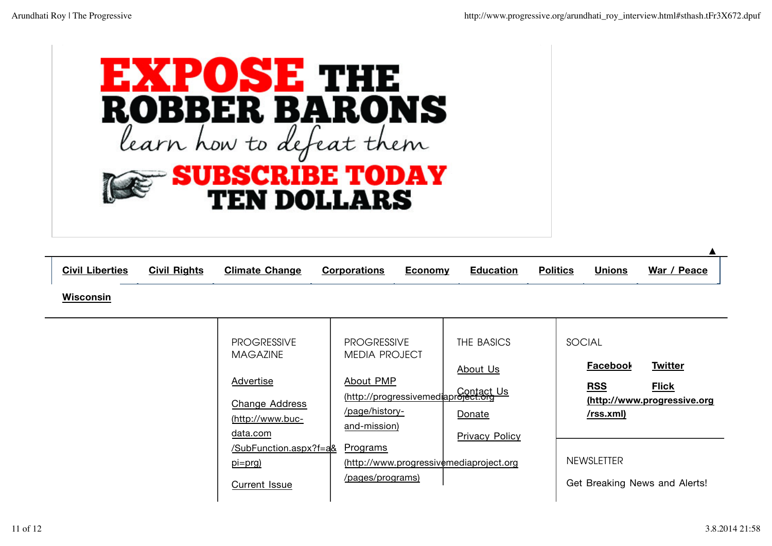

| <b>Civil Liberties</b> | <b>Civil Rights</b> | <b>Climate Change</b>                                     | <b>Corporations</b>                                     | <b>Economy</b> | <b>Education</b>                                                      | <b>Politics</b> | <b>Unions</b>                  | War / Peace                                 |
|------------------------|---------------------|-----------------------------------------------------------|---------------------------------------------------------|----------------|-----------------------------------------------------------------------|-----------------|--------------------------------|---------------------------------------------|
| <b>Wisconsin</b>       |                     |                                                           |                                                         |                |                                                                       |                 |                                |                                             |
|                        |                     | <b>PROGRESSIVE</b><br><b>MAGAZINE</b><br><b>Advertise</b> | <b>PROGRESSIVE</b><br><b>MEDIA PROJECT</b><br>About PMP |                | THE BASICS<br>About Us                                                |                 | SOCIAL<br>Facebool             | <b>Twitter</b>                              |
|                        |                     | <b>Change Address</b><br>(http://www.buc-<br>data.com     | /page/history-<br>and-mission)                          |                | http://progressivemediaproject.org<br>Donate<br><b>Privacy Policy</b> |                 | <b>RSS</b><br><u>/rss.xml)</u> | <b>Flick</b><br>(http://www.progressive.org |
|                        |                     | /SubFunction.aspx?f=a&<br>pi=prg)<br><b>Current Issue</b> | <b>Programs</b><br>/pages/programs)                     |                | $(http://www.progressiv$ $\n#mediaproject.org$                        |                 | <b>NEWSLETTER</b>              | Get Breaking News and Alerts!               |

**▲**